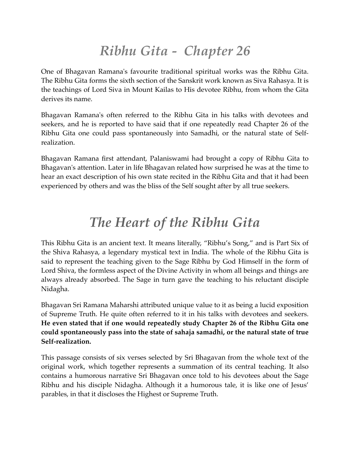## *Ribhu Gita - Chapter 26*

One of Bhagavan Ramana's favourite traditional spiritual works was the Ribhu Gita. The Ribhu Gita forms the sixth section of the Sanskrit work known as Siva Rahasya. It is the teachings of Lord Siva in Mount Kailas to His devotee Ribhu, from whom the Gita derives its name.

Bhagavan Ramana's often referred to the Ribhu Gita in his talks with devotees and seekers, and he is reported to have said that if one repeatedly read Chapter 26 of the Ribhu Gita one could pass spontaneously into Samadhi, or the natural state of Selfrealization.

Bhagavan Ramana first attendant, Palaniswami had brought a copy of Ribhu Gita to Bhagavan's attention. Later in life Bhagavan related how surprised he was at the time to hear an exact description of his own state recited in the Ribhu Gita and that it had been experienced by others and was the bliss of the Self sought after by all true seekers.

## *The Heart of the Ribhu Gita*

This Ribhu Gita is an ancient text. It means literally, "Ribhu's Song," and is Part Six of the Shiva Rahasya, a legendary mystical text in India. The whole of the Ribhu Gita is said to represent the teaching given to the Sage Ribhu by God Himself in the form of Lord Shiva, the formless aspect of the Divine Activity in whom all beings and things are always already absorbed. The Sage in turn gave the teaching to his reluctant disciple Nidagha.

Bhagavan Sri Ramana Maharshi attributed unique value to it as being a lucid exposition of Supreme Truth. He quite often referred to it in his talks with devotees and seekers. **He even stated that if one would repeatedly study Chapter 26 of the Ribhu Gita one could spontaneously pass into the state of sahaja samadhi, or the natural state of true Self-realization.**

This passage consists of six verses selected by Sri Bhagavan from the whole text of the original work, which together represents a summation of its central teaching. It also contains a humorous narrative Sri Bhagavan once told to his devotees about the Sage Ribhu and his disciple Nidagha. Although it a humorous tale, it is like one of Jesus' parables, in that it discloses the Highest or Supreme Truth.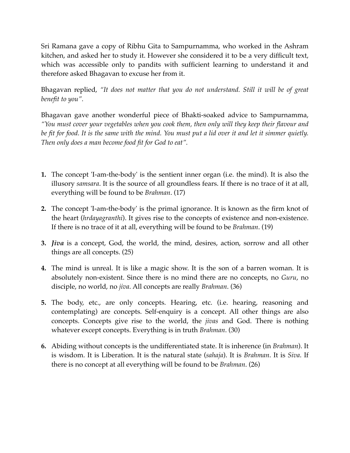Sri Ramana gave a copy of Ribhu Gita to Sampurnamma, who worked in the Ashram kitchen, and asked her to study it. However she considered it to be a very difficult text, which was accessible only to pandits with sufficient learning to understand it and therefore asked Bhagavan to excuse her from it.

Bhagavan replied, *"It does not matter that you do not understand. Still it will be of great benefit to you".*

Bhagavan gave another wonderful piece of Bhakti-soaked advice to Sampurnamma, *"You must cover your vegetables when you cook them, then only will they keep their flavour and be fit for food. It is the same with the mind. You must put a lid over it and let it simmer quietly. Then only does a man become food fit for God to eat".*

- **1.** The concept 'I-am-the-body' is the sentient inner organ (i.e. the mind). It is also the illusory *samsara*. It is the source of all groundless fears. If there is no trace of it at all, everything will be found to be *Brahman*. (17)
- **2.** The concept 'I-am-the-body' is the primal ignorance. It is known as the firm knot of the heart (*hrdayagranthi*). It gives rise to the concepts of existence and non-existence. If there is no trace of it at all, everything will be found to be *Brahman*. (19)
- **3.** *Jiva* is a concept, God, the world, the mind, desires, action, sorrow and all other things are all concepts. (25)
- **4.** The mind is unreal. It is like a magic show. It is the son of a barren woman. It is absolutely non-existent. Since there is no mind there are no concepts, no *Guru*, no disciple, no world, no *jiva*. All concepts are really *Brahman*. (36)
- **5.** The body, etc., are only concepts. Hearing, etc. (i.e. hearing, reasoning and contemplating) are concepts. Self-enquiry is a concept. All other things are also concepts. Concepts give rise to the world, the *jivas* and God. There is nothing whatever except concepts. Everything is in truth *Brahman*. (30)
- **6.** Abiding without concepts is the undifferentiated state. It is inherence (in *Brahman*). It is wisdom. It is Liberation. It is the natural state (*sahaja*). It is *Brahman*. It is *Siva*. If there is no concept at all everything will be found to be *Brahman*. (26)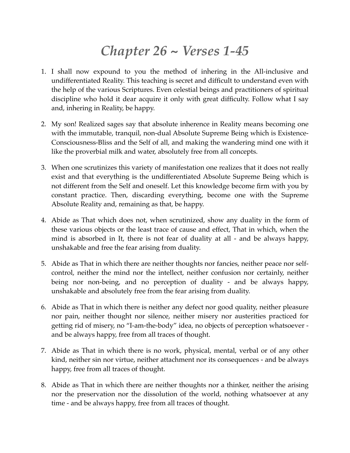## *Chapter 26 ~ Verses 1-45*

- 1. I shall now expound to you the method of inhering in the All-inclusive and undifferentiated Reality. This teaching is secret and difficult to understand even with the help of the various Scriptures. Even celestial beings and practitioners of spiritual discipline who hold it dear acquire it only with great difficulty. Follow what I say and, inhering in Reality, be happy.
- 2. My son! Realized sages say that absolute inherence in Reality means becoming one with the immutable, tranquil, non-dual Absolute Supreme Being which is Existence-Consciousness-Bliss and the Self of all, and making the wandering mind one with it like the proverbial milk and water, absolutely free from all concepts.
- 3. When one scrutinizes this variety of manifestation one realizes that it does not really exist and that everything is the undifferentiated Absolute Supreme Being which is not different from the Self and oneself. Let this knowledge become firm with you by constant practice. Then, discarding everything, become one with the Supreme Absolute Reality and, remaining as that, be happy.
- 4. Abide as That which does not, when scrutinized, show any duality in the form of these various objects or the least trace of cause and effect, That in which, when the mind is absorbed in It, there is not fear of duality at all - and be always happy, unshakable and free the fear arising from duality.
- 5. Abide as That in which there are neither thoughts nor fancies, neither peace nor selfcontrol, neither the mind nor the intellect, neither confusion nor certainly, neither being nor non-being, and no perception of duality - and be always happy, unshakable and absolutely free from the fear arising from duality.
- 6. Abide as That in which there is neither any defect nor good quality, neither pleasure nor pain, neither thought nor silence, neither misery nor austerities practiced for getting rid of misery, no "I-am-the-body" idea, no objects of perception whatsoever and be always happy, free from all traces of thought.
- 7. Abide as That in which there is no work, physical, mental, verbal or of any other kind, neither sin nor virtue, neither attachment nor its consequences - and be always happy, free from all traces of thought.
- 8. Abide as That in which there are neither thoughts nor a thinker, neither the arising nor the preservation nor the dissolution of the world, nothing whatsoever at any time - and be always happy, free from all traces of thought.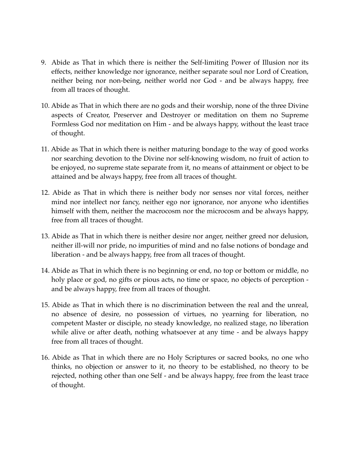- 9. Abide as That in which there is neither the Self-limiting Power of Illusion nor its effects, neither knowledge nor ignorance, neither separate soul nor Lord of Creation, neither being nor non-being, neither world nor God - and be always happy, free from all traces of thought.
- 10. Abide as That in which there are no gods and their worship, none of the three Divine aspects of Creator, Preserver and Destroyer or meditation on them no Supreme Formless God nor meditation on Him - and be always happy, without the least trace of thought.
- 11. Abide as That in which there is neither maturing bondage to the way of good works nor searching devotion to the Divine nor self-knowing wisdom, no fruit of action to be enjoyed, no supreme state separate from it, no means of attainment or object to be attained and be always happy, free from all traces of thought.
- 12. Abide as That in which there is neither body nor senses nor vital forces, neither mind nor intellect nor fancy, neither ego nor ignorance, nor anyone who identifies himself with them, neither the macrocosm nor the microcosm and be always happy, free from all traces of thought.
- 13. Abide as That in which there is neither desire nor anger, neither greed nor delusion, neither ill-will nor pride, no impurities of mind and no false notions of bondage and liberation - and be always happy, free from all traces of thought.
- 14. Abide as That in which there is no beginning or end, no top or bottom or middle, no holy place or god, no gifts or pious acts, no time or space, no objects of perception and be always happy, free from all traces of thought.
- 15. Abide as That in which there is no discrimination between the real and the unreal, no absence of desire, no possession of virtues, no yearning for liberation, no competent Master or disciple, no steady knowledge, no realized stage, no liberation while alive or after death, nothing whatsoever at any time - and be always happy free from all traces of thought.
- 16. Abide as That in which there are no Holy Scriptures or sacred books, no one who thinks, no objection or answer to it, no theory to be established, no theory to be rejected, nothing other than one Self - and be always happy, free from the least trace of thought.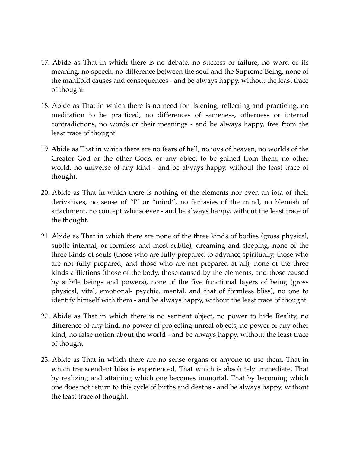- 17. Abide as That in which there is no debate, no success or failure, no word or its meaning, no speech, no difference between the soul and the Supreme Being, none of the manifold causes and consequences - and be always happy, without the least trace of thought.
- 18. Abide as That in which there is no need for listening, reflecting and practicing, no meditation to be practiced, no differences of sameness, otherness or internal contradictions, no words or their meanings - and be always happy, free from the least trace of thought.
- 19. Abide as That in which there are no fears of hell, no joys of heaven, no worlds of the Creator God or the other Gods, or any object to be gained from them, no other world, no universe of any kind - and be always happy, without the least trace of thought.
- 20. Abide as That in which there is nothing of the elements nor even an iota of their derivatives, no sense of "I" or "mind", no fantasies of the mind, no blemish of attachment, no concept whatsoever - and be always happy, without the least trace of the thought.
- 21. Abide as That in which there are none of the three kinds of bodies (gross physical, subtle internal, or formless and most subtle), dreaming and sleeping, none of the three kinds of souls (those who are fully prepared to advance spiritually, those who are not fully prepared, and those who are not prepared at all), none of the three kinds afflictions (those of the body, those caused by the elements, and those caused by subtle beings and powers), none of the five functional layers of being (gross physical, vital, emotional- psychic, mental, and that of formless bliss), no one to identify himself with them - and be always happy, without the least trace of thought.
- 22. Abide as That in which there is no sentient object, no power to hide Reality, no difference of any kind, no power of projecting unreal objects, no power of any other kind, no false notion about the world - and be always happy, without the least trace of thought.
- 23. Abide as That in which there are no sense organs or anyone to use them, That in which transcendent bliss is experienced, That which is absolutely immediate, That by realizing and attaining which one becomes immortal, That by becoming which one does not return to this cycle of births and deaths - and be always happy, without the least trace of thought.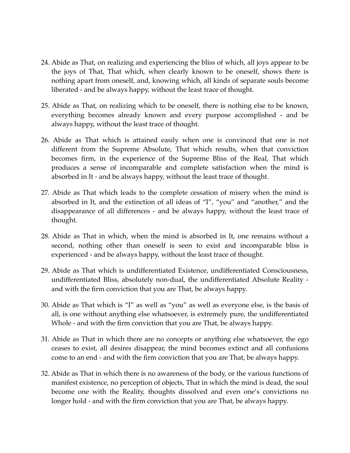- 24. Abide as That, on realizing and experiencing the bliss of which, all joys appear to be the joys of That, That which, when clearly known to be oneself, shows there is nothing apart from oneself, and, knowing which, all kinds of separate souls become liberated - and be always happy, without the least trace of thought.
- 25. Abide as That, on realizing which to be oneself, there is nothing else to be known, everything becomes already known and every purpose accomplished - and be always happy, without the least trace of thought.
- 26. Abide as That which is attained easily when one is convinced that one is not different from the Supreme Absolute, That which results, when that conviction becomes firm, in the experience of the Supreme Bliss of the Real, That which produces a sense of incomparable and complete satisfaction when the mind is absorbed in It - and be always happy, without the least trace of thought.
- 27. Abide as That which leads to the complete cessation of misery when the mind is absorbed in It, and the extinction of all ideas of "I", "you" and "another," and the disappearance of all differences - and be always happy, without the least trace of thought.
- 28. Abide as That in which, when the mind is absorbed in It, one remains without a second, nothing other than oneself is seen to exist and incomparable bliss is experienced - and be always happy, without the least trace of thought.
- 29. Abide as That which is undifferentiated Existence, undifferentiated Consciousness, undifferentiated Bliss, absolutely non-dual, the undifferentiated Absolute Reality and with the firm conviction that you are That, be always happy.
- 30. Abide as That which is "I" as well as "you" as well as everyone else, is the basis of all, is one without anything else whatsoever, is extremely pure, the undifferentiated Whole - and with the firm conviction that you are That, be always happy.
- 31. Abide as That in which there are no concepts or anything else whatsoever, the ego ceases to exist, all desires disappear, the mind becomes extinct and all confusions come to an end - and with the firm conviction that you are That, be always happy.
- 32. Abide as That in which there is no awareness of the body, or the various functions of manifest existence, no perception of objects, That in which the mind is dead, the soul become one with the Reality, thoughts dissolved and even one's convictions no longer hold - and with the firm conviction that you are That, be always happy.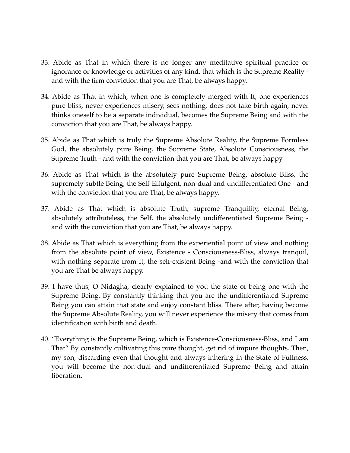- 33. Abide as That in which there is no longer any meditative spiritual practice or ignorance or knowledge or activities of any kind, that which is the Supreme Reality and with the firm conviction that you are That, be always happy.
- 34. Abide as That in which, when one is completely merged with It, one experiences pure bliss, never experiences misery, sees nothing, does not take birth again, never thinks oneself to be a separate individual, becomes the Supreme Being and with the conviction that you are That, be always happy.
- 35. Abide as That which is truly the Supreme Absolute Reality, the Supreme Formless God, the absolutely pure Being, the Supreme State, Absolute Consciousness, the Supreme Truth - and with the conviction that you are That, be always happy
- 36. Abide as That which is the absolutely pure Supreme Being, absolute Bliss, the supremely subtle Being, the Self-Effulgent, non-dual and undifferentiated One - and with the conviction that you are That, be always happy.
- 37. Abide as That which is absolute Truth, supreme Tranquility, eternal Being, absolutely attributeless, the Self, the absolutely undifferentiated Supreme Being and with the conviction that you are That, be always happy.
- 38. Abide as That which is everything from the experiential point of view and nothing from the absolute point of view, Existence - Consciousness-Bliss, always tranquil, with nothing separate from It, the self-existent Being -and with the conviction that you are That be always happy.
- 39. I have thus, O Nidagha, clearly explained to you the state of being one with the Supreme Being. By constantly thinking that you are the undifferentiated Supreme Being you can attain that state and enjoy constant bliss. There after, having become the Supreme Absolute Reality, you will never experience the misery that comes from identification with birth and death.
- 40. "Everything is the Supreme Being, which is Existence-Consciousness-Bliss, and I am That" By constantly cultivating this pure thought, get rid of impure thoughts. Then, my son, discarding even that thought and always inhering in the State of Fullness, you will become the non-dual and undifferentiated Supreme Being and attain liberation.